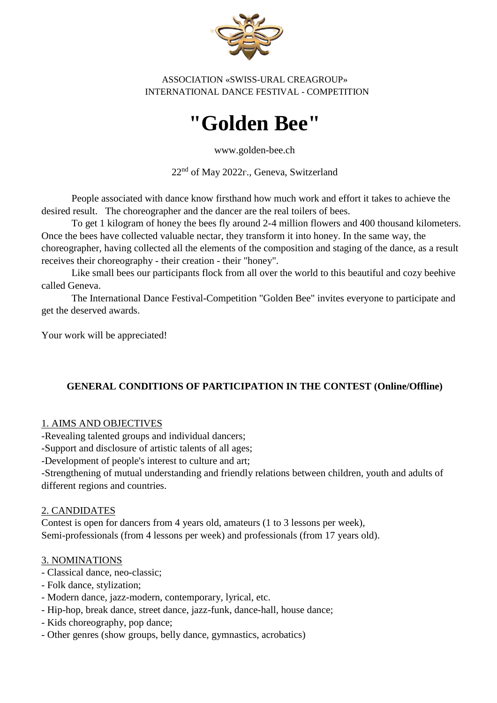

ASSOCIATION «SWISS-URAL CREAGROUP» INTERNATIONAL DANCE FESTIVAL - COMPETITION

# **"Golden Bee"**

www.golden-bee.ch

22<sup>nd</sup> of May 2022г., Geneva, Switzerland

People associated with dance know firsthand how much work and effort it takes to achieve the desired result. The choreographer and the dancer are the real toilers of bees.

To get 1 kilogram of honey the bees fly around 2-4 million flowers and 400 thousand kilometers. Once the bees have collected valuable nectar, they transform it into honey. In the same way, the choreographer, having collected all the elements of the composition and staging of the dance, as a result receives their choreography - their creation - their "honey".

Like small bees our participants flock from all over the world to this beautiful and cozy beehive called Geneva.

The International Dance Festival-Competition "Golden Bee" invites everyone to participate and get the deserved awards.

Your work will be appreciated!

#### **GENERAL CONDITIONS OF PARTICIPATION IN THE CONTEST (Online/Offline)**

#### 1. AIMS AND OBJECTIVES

-Revealing talented groups and individual dancers;

-Support and disclosure of artistic talents of all ages;

-Development of people's interest to culture and art;

-Strengthening of mutual understanding and friendly relations between children, youth and adults of different regions and countries.

#### 2. CANDIDATES

Contest is open for dancers from 4 years old, amateurs (1 to 3 lessons per week), Semi-professionals (from 4 lessons per week) and professionals (from 17 years old).

#### 3. NOMINATIONS

- Classical dance, neo-classic;
- Folk dance, stylization;
- Modern dance, jazz-modern, contemporary, lyrical, etc.
- Hip-hop, break dance, street dance, jazz-funk, dance-hall, house dance;
- Kids choreography, pop dance;
- Other genres (show groups, belly dance, gymnastics, acrobatics)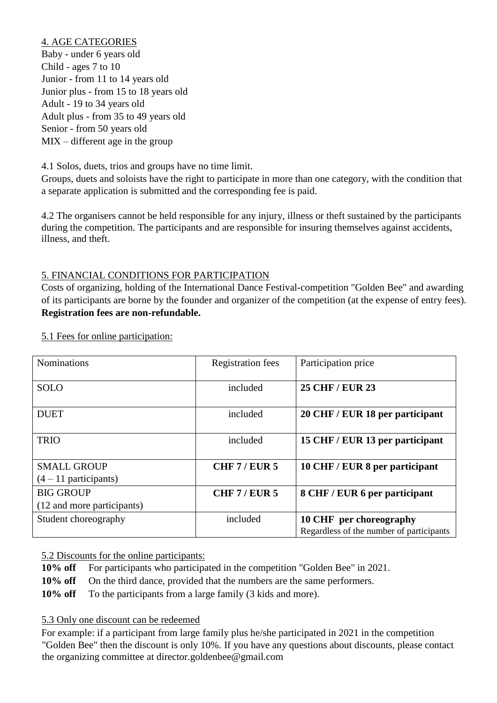#### 4. AGE CATEGORIES

Baby - under 6 years old Child - ages 7 to 10 Junior - from 11 to 14 years old Junior plus - from 15 to 18 years old Adult - 19 to 34 years old Adult plus - from 35 to 49 years old Senior - from 50 years old MIX – different age in the group

4.1 Solos, duets, trios and groups have no time limit.

Groups, duets and soloists have the right to participate in more than one category, with the condition that a separate application is submitted and the corresponding fee is paid.

4.2 The organisers cannot be held responsible for any injury, illness or theft sustained by the participants during the competition. The participants and are responsible for insuring themselves against accidents, illness, and theft.

#### 5. FINANCIAL CONDITIONS FOR PARTICIPATION

Costs of organizing, holding of the International Dance Festival-competition "Golden Bee" and awarding of its participants are borne by the founder and organizer of the competition (at the expense of entry fees). **Registration fees are non-refundable.**

| <b>Nominations</b>         | <b>Registration</b> fees | Participation price                      |
|----------------------------|--------------------------|------------------------------------------|
| <b>SOLO</b>                | included                 | <b>25 CHF / EUR 23</b>                   |
| <b>DUET</b>                | included                 | 20 CHF / EUR 18 per participant          |
| <b>TRIO</b>                | included                 | 15 CHF / EUR 13 per participant          |
| <b>SMALL GROUP</b>         | <b>CHF 7/ EUR 5</b>      | 10 CHF / EUR 8 per participant           |
| $(4-11$ participants)      |                          |                                          |
| <b>BIG GROUP</b>           | <b>CHF 7/ EUR 5</b>      | 8 CHF / EUR 6 per participant            |
| (12 and more participants) |                          |                                          |
| Student choreography       | included                 | 10 CHF per choreography                  |
|                            |                          | Regardless of the number of participants |

5.1 Fees for online participation:

5.2 Discounts for the online participants:

**10% off** For participants who participated in the competition "Golden Bee" in 2021.

**10% off** On the third dance, provided that the numbers are the same performers.

10% off To the participants from a large family (3 kids and more).

#### 5.3 Only one discount can be redeemed

For example: if a participant from large family plus he/she participated in 2021 in the competition "Golden Bee" then the discount is only 10%. If you have any questions about discounts, please contact the organizing committee at director.goldenbee@gmail.com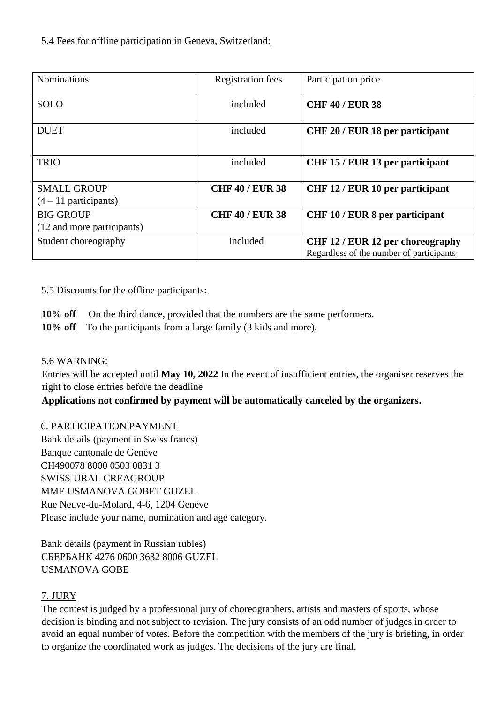| <b>Nominations</b>         | <b>Registration</b> fees | Participation price                                                          |
|----------------------------|--------------------------|------------------------------------------------------------------------------|
| <b>SOLO</b>                | included                 | <b>CHF 40 / EUR 38</b>                                                       |
| <b>DUET</b>                | included                 | CHF 20 / EUR 18 per participant                                              |
| <b>TRIO</b>                | included                 | CHF 15 / EUR 13 per participant                                              |
| <b>SMALL GROUP</b>         | <b>CHF 40 / EUR 38</b>   | CHF 12 / EUR 10 per participant                                              |
| $(4-11$ participants)      |                          |                                                                              |
| <b>BIG GROUP</b>           | <b>CHF 40 / EUR 38</b>   | <b>CHF 10/EUR 8 per participant</b>                                          |
| (12 and more participants) |                          |                                                                              |
| Student choreography       | included                 | CHF 12 / EUR 12 per choreography<br>Regardless of the number of participants |

## 5.5 Discounts for the offline participants:

**10% off** On the third dance, provided that the numbers are the same performers.

**10% off** To the participants from a large family (3 kids and more).

# 5.6 WARNING:

Entries will be accepted until **May 10, 2022** In the event of insufficient entries, the organiser reserves the right to close entries before the deadline

**Applications not confirmed by payment will be automatically canceled by the organizers.**

# 6. PARTICIPATION PAYMENT

Bank details (payment in Swiss francs) Banque cantonale de Genève CH490078 8000 0503 0831 3 SWISS-URAL CREAGROUP MME USMANOVA GOBET GUZEL Rue Neuve-du-Molard, 4-6, 1204 Genève Please include your name, nomination and age category.

Bank details (payment in Russian rubles) СБЕРБАНК 4276 0600 3632 8006 GUZEL USMANOVA GOBE

# 7. JURY

The contest is judged by a professional jury of choreographers, artists and masters of sports, whose decision is binding and not subject to revision. The jury consists of an odd number of judges in order to avoid an equal number of votes. Before the competition with the members of the jury is briefing, in order to organize the coordinated work as judges. The decisions of the jury are final.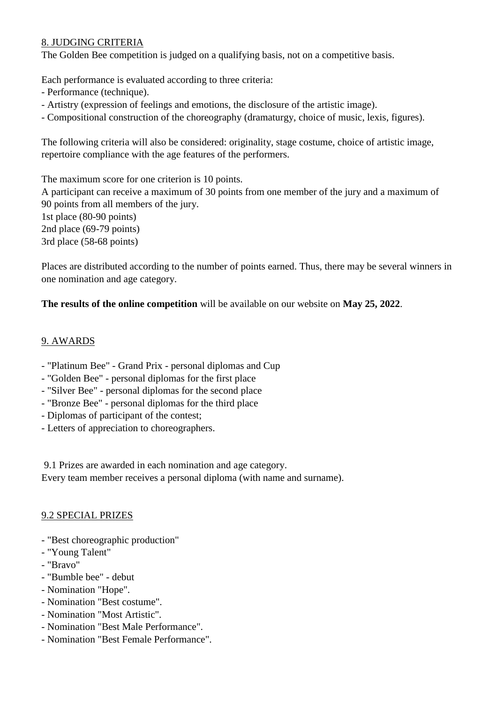## 8. JUDGING CRITERIA

The Golden Bee competition is judged on a qualifying basis, not on a competitive basis.

Each performance is evaluated according to three criteria:

- Performance (technique).
- Artistry (expression of feelings and emotions, the disclosure of the artistic image).
- Compositional construction of the choreography (dramaturgy, choice of music, lexis, figures).

The following criteria will also be considered: originality, stage costume, choice of artistic image, repertoire compliance with the age features of the performers.

The maximum score for one criterion is 10 points.

A participant can receive a maximum of 30 points from one member of the jury and a maximum of 90 points from all members of the jury. 1st place (80-90 points)

2nd place (69-79 points)

3rd place (58-68 points)

Places are distributed according to the number of points earned. Thus, there may be several winners in one nomination and age category.

**The results of the online competition** will be available on our website on **May 25, 2022**.

#### 9. AWARDS

- "Platinum Bee" Grand Prix personal diplomas and Cup
- "Golden Bee" personal diplomas for the first place
- "Silver Bee" personal diplomas for the second place
- "Bronze Bee" personal diplomas for the third place
- Diplomas of participant of the contest;
- Letters of appreciation to choreographers.

9.1 Prizes are awarded in each nomination and age category.

Every team member receives a personal diploma (with name and surname).

#### 9.2 SPECIAL PRIZES

- "Best choreographic production"
- "Young Talent"
- "Bravo"
- "Bumble bee" debut
- Nomination "Hope".
- Nomination "Best costume".
- Nomination "Most Artistic".
- Nomination "Best Male Performance".
- Nomination "Best Female Performance".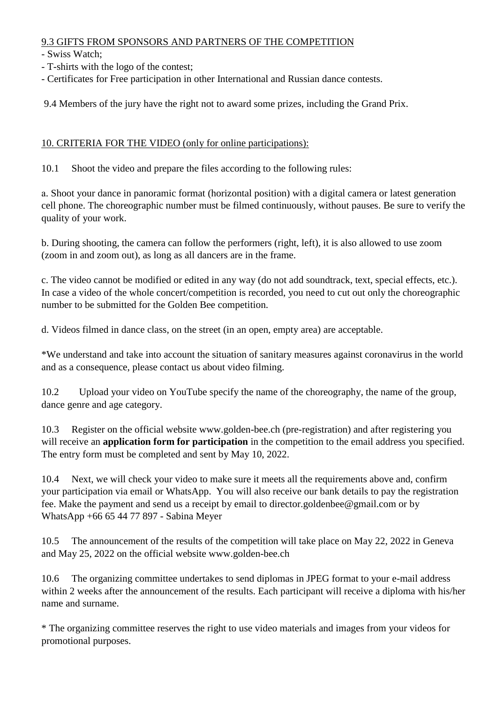## 9.3 GIFTS FROM SPONSORS AND PARTNERS OF THE COMPETITION

- Swiss Watch;

- T-shirts with the logo of the contest;
- Certificates for Free participation in other International and Russian dance contests.

9.4 Members of the jury have the right not to award some prizes, including the Grand Prix.

## 10. CRITERIA FOR THE VIDEO (only for online participations):

10.1 Shoot the video and prepare the files according to the following rules:

а. Shoot your dance in panoramic format (horizontal position) with a digital camera or latest generation cell phone. The choreographic number must be filmed continuously, without pauses. Be sure to verify the quality of your work.

b. During shooting, the camera can follow the performers (right, left), it is also allowed to use zoom (zoom in and zoom out), as long as all dancers are in the frame.

c. The video cannot be modified or edited in any way (do not add soundtrack, text, special effects, etc.). In case a video of the whole concert/competition is recorded, you need to cut out only the choreographic number to be submitted for the Golden Bee competition.

d. Videos filmed in dance class, on the street (in an open, empty area) are acceptable.

\*We understand and take into account the situation of sanitary measures against coronavirus in the world and as a consequence, please contact us about video filming.

10.2 Upload your video on YouTube specify the name of the choreography, the name of the group, dance genre and age category.

10.3 Register on the official website www.golden-bee.ch (pre-registration) and after registering you will receive an **application form for participation** in the competition to the email address you specified. The entry form must be completed and sent by May 10, 2022.

10.4 Next, we will check your video to make sure it meets all the requirements above and, confirm your participation via email or WhatsApp. You will also receive our bank details to pay the registration fee. Make the payment and send us a receipt by email to director.goldenbee@gmail.com or by WhatsApp +66 65 44 77 897 - Sabina Meyer

10.5 The announcement of the results of the competition will take place on May 22, 2022 in Geneva and May 25, 2022 on the official website www.golden-bee.ch

The organizing committee undertakes to send diplomas in JPEG format to your e-mail address within 2 weeks after the announcement of the results. Each participant will receive a diploma with his/her name and surname.

\* The organizing committee reserves the right to use video materials and images from your videos for promotional purposes.